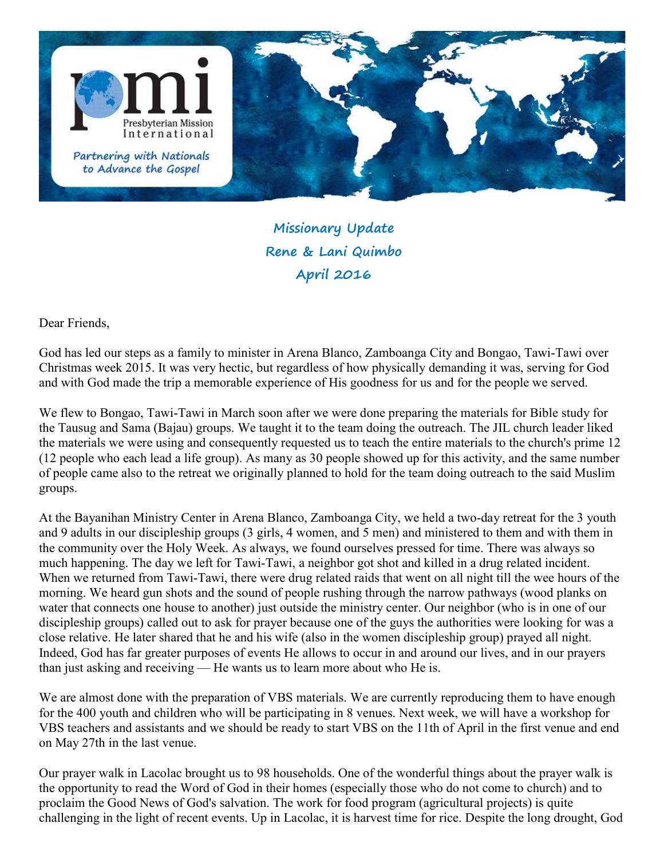

Missionary Update Rene & Lani Quimbo April 2016

Dear Friends,

God has led our steps as a family to minister in Arena Blanco, Zamboanga City and Bongao, Tawi-Tawi over Christmas week 2015. It was very hectic, but regardless of how physically demanding it was, serving for God and with God made the trip a memorable experience of His goodness for us and for the people we served.

We flew to Bongao, Tawi-Tawi in March soon after we were done preparing the materials for Bible study for the Tausug and Sama (Bajau) groups. We taught it to the team doing the outreach. The JIL church leader liked the materials we were using and consequently requested us to teach the entire materials to the church's prime 12 (12 people who each lead a life group). As many as 30 people showed up for this activity, and the same number of people came also to the retreat we originally planned to hold for the team doing outreach to the said Muslim groups.

At the Bayanihan Ministry Center in Arena Blanco, Zamboanga City, we held a two-day retreat for the 3 youth and 9 adults in our discipleship groups (3 girls, 4 women, and 5 men) and ministered to them and with them in the community over the Holy Week. As always, we found ourselves pressed for time. There was always so much happening. The day we left for Tawi-Tawi, a neighbor got shot and killed in a drug related incident. When we returned from Tawi-Tawi, there were drug related raids that went on all night till the wee hours of the morning. We heard gun shots and the sound of people rushing through the narrow pathways (wood planks on water that connects one house to another) just outside the ministry center. Our neighbor (who is in one of our discipleship groups) called out to ask for prayer because one of the guys the authorities were looking for was a close relative. He later shared that he and his wife (also in the women discipleship group) prayed all night. Indeed, God has far greater purposes of events He allows to occur in and around our lives, and in our prayers than just asking and receiving — He wants us to learn more about who He is.

We are almost done with the preparation of VBS materials. We are currently reproducing them to have enough for the 400 youth and children who will be participating in 8 venues. Next week, we will have a workshop for VBS teachers and assistants and we should be ready to start VBS on the 11th of April in the first venue and end on May 27th in the last venue.

Our prayer walk in Lacolac brought us to 98 households. One of the wonderful things about the prayer walk is the opportunity to read the Word of God in their homes (especially those who do not come to church) and to proclaim the Good News of God's salvation. The work for food program (agricultural projects) is quite challenging in the light of recent events. Up in Lacolac, it is harvest time for rice. Despite the long drought, God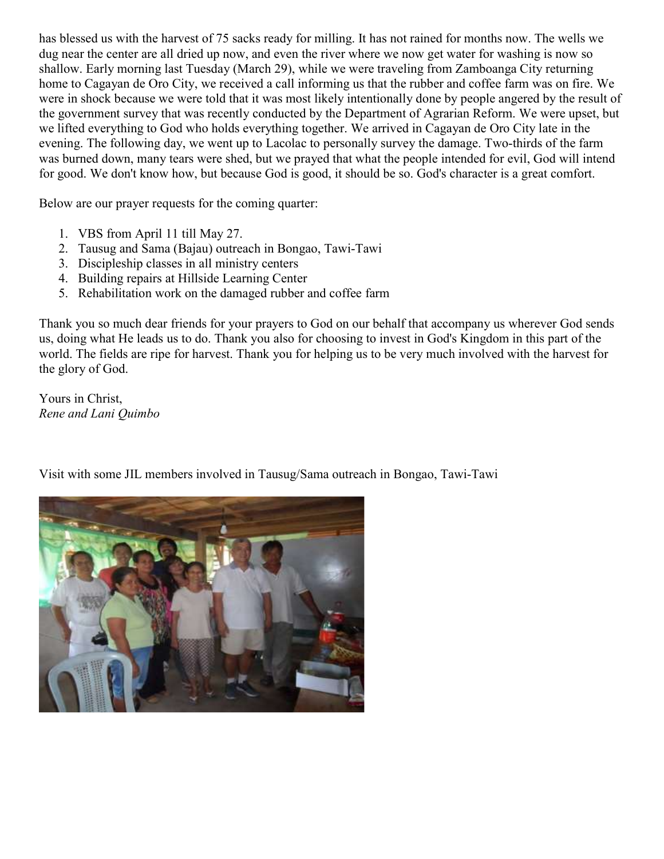has blessed us with the harvest of 75 sacks ready for milling. It has not rained for months now. The wells we dug near the center are all dried up now, and even the river where we now get water for washing is now so shallow. Early morning last Tuesday (March 29), while we were traveling from Zamboanga City returning home to Cagayan de Oro City, we received a call informing us that the rubber and coffee farm was on fire. We were in shock because we were told that it was most likely intentionally done by people angered by the result of the government survey that was recently conducted by the Department of Agrarian Reform. We were upset, but we lifted everything to God who holds everything together. We arrived in Cagayan de Oro City late in the evening. The following day, we went up to Lacolac to personally survey the damage. Two-thirds of the farm was burned down, many tears were shed, but we prayed that what the people intended for evil, God will intend for good. We don't know how, but because God is good, it should be so. God's character is a great comfort.

Below are our prayer requests for the coming quarter:

- 1. VBS from April 11 till May 27.
- 2. Tausug and Sama (Bajau) outreach in Bongao, Tawi-Tawi
- 3. Discipleship classes in all ministry centers
- 4. Building repairs at Hillside Learning Center
- 5. Rehabilitation work on the damaged rubber and coffee farm

Thank you so much dear friends for your prayers to God on our behalf that accompany us wherever God sends us, doing what He leads us to do. Thank you also for choosing to invest in God's Kingdom in this part of the world. The fields are ripe for harvest. Thank you for helping us to be very much involved with the harvest for the glory of God.

Yours in Christ, Rene and Lani Quimbo

Visit with some JIL members involved in Tausug/Sama outreach in Bongao, Tawi-Tawi

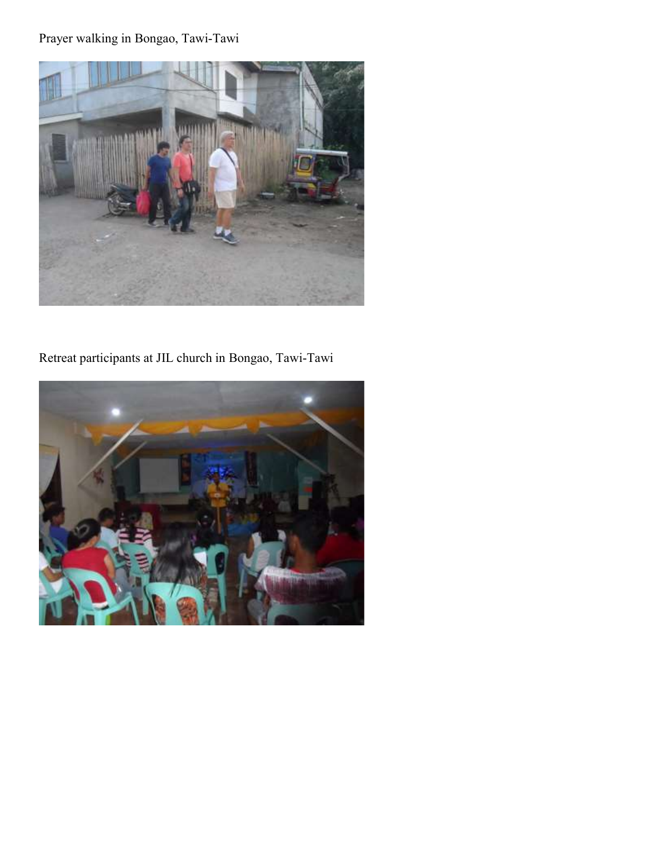## Prayer walking in Bongao, Tawi-Tawi



## Retreat participants at JIL church in Bongao, Tawi-Tawi

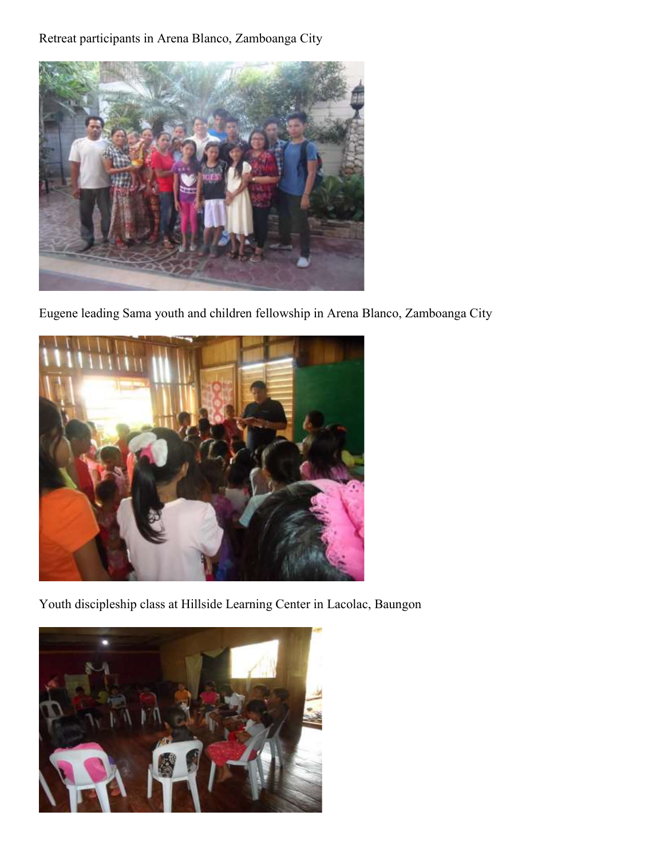Retreat participants in Arena Blanco, Zamboanga City



Eugene leading Sama youth and children fellowship in Arena Blanco, Zamboanga City



Youth discipleship class at Hillside Learning Center in Lacolac, Baungon